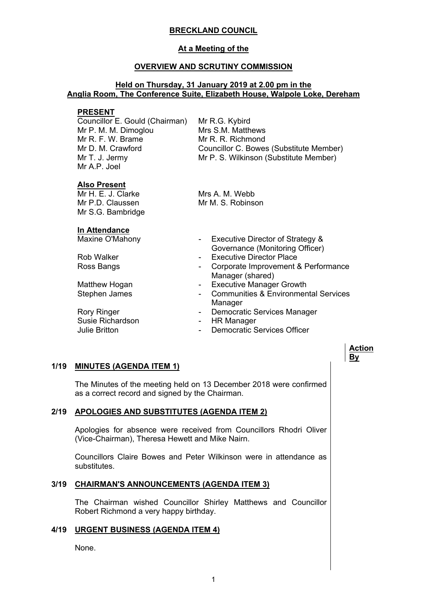# **BRECKLAND COUNCIL**

# **At a Meeting of the**

#### **OVERVIEW AND SCRUTINY COMMISSION**

### **Held on Thursday, 31 January 2019 at 2.00 pm in the Anglia Room, The Conference Suite, Elizabeth House, Walpole Loke, Dereham**

#### **PRESENT**

Councillor E. Gould (Chairman) Mr P. M. M. Dimoglou Mr R. F. W. Brame Mr D. M. Crawford Mr T. J. Jermy Mr A.P. Joel

Mr R.G. Kybird Mrs S.M. Matthews Mr R. R. Richmond Councillor C. Bowes (Substitute Member) Mr P. S. Wilkinson (Substitute Member)

### **Also Present**

 $MrH \tF. J. Clarke$ Mr P.D. Claussen Mr S.G. Bambridge Mrs A. M. Webb Mr M. S. Robinson

| In Attendance                  |
|--------------------------------|
| $M$ a $\sim$ ing $\sim$ UMahan |

Susie Richardson **- HR Manager** 

- Maxine O'Mahony  **Executive Director of Strategy &** Governance (Monitoring Officer)
- Rob Walker  **Executive Director Place**
- Ross Bangs  **Corporate Improvement & Performance** Manager (shared)
- Matthew Hogan **Matthew Hogan** Executive Manager Growth
- Stephen James **Communities & Environmental Services** Manager

**Action By**

- Rory Ringer **No. 2018** Democratic Services Manager
	-
- Julie Britton **Communist Communist Communist Communist Communist Communist Communist Communist Communist Communist Communist Communist Communist Communist Communist Communist Communist Communist Communist Communist Communi**

# **1/19 MINUTES (AGENDA ITEM 1)**

The Minutes of the meeting held on 13 December 2018 were confirmed as a correct record and signed by the Chairman.

# **2/19 APOLOGIES AND SUBSTITUTES (AGENDA ITEM 2)**

Apologies for absence were received from Councillors Rhodri Oliver (Vice-Chairman), Theresa Hewett and Mike Nairn.

Councillors Claire Bowes and Peter Wilkinson were in attendance as substitutes.

# **3/19 CHAIRMAN'S ANNOUNCEMENTS (AGENDA ITEM 3)**

The Chairman wished Councillor Shirley Matthews and Councillor Robert Richmond a very happy birthday.

#### **4/19 URGENT BUSINESS (AGENDA ITEM 4)**

None.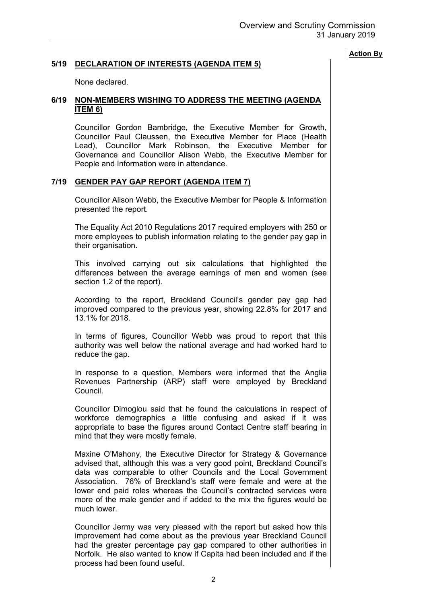# **5/19 DECLARATION OF INTERESTS (AGENDA ITEM 5)**

None declared.

### **6/19 NON-MEMBERS WISHING TO ADDRESS THE MEETING (AGENDA ITEM 6)**

Councillor Gordon Bambridge, the Executive Member for Growth, Councillor Paul Claussen, the Executive Member for Place (Health Lead), Councillor Mark Robinson, the Executive Member for Governance and Councillor Alison Webb, the Executive Member for People and Information were in attendance.

# **7/19 GENDER PAY GAP REPORT (AGENDA ITEM 7)**

Councillor Alison Webb, the Executive Member for People & Information presented the report.

The Equality Act 2010 Regulations 2017 required employers with 250 or more employees to publish information relating to the gender pay gap in their organisation.

This involved carrying out six calculations that highlighted the differences between the average earnings of men and women (see section 1.2 of the report).

According to the report, Breckland Council's gender pay gap had improved compared to the previous year, showing 22.8% for 2017 and 13.1% for 2018.

In terms of figures, Councillor Webb was proud to report that this authority was well below the national average and had worked hard to reduce the gap.

In response to a question, Members were informed that the Anglia Revenues Partnership (ARP) staff were employed by Breckland Council.

Councillor Dimoglou said that he found the calculations in respect of workforce demographics a little confusing and asked if it was appropriate to base the figures around Contact Centre staff bearing in mind that they were mostly female.

Maxine O'Mahony, the Executive Director for Strategy & Governance advised that, although this was a very good point, Breckland Council's data was comparable to other Councils and the Local Government Association. 76% of Breckland's staff were female and were at the lower end paid roles whereas the Council's contracted services were more of the male gender and if added to the mix the figures would be much lower.

Councillor Jermy was very pleased with the report but asked how this improvement had come about as the previous year Breckland Council had the greater percentage pay gap compared to other authorities in Norfolk. He also wanted to know if Capita had been included and if the process had been found useful.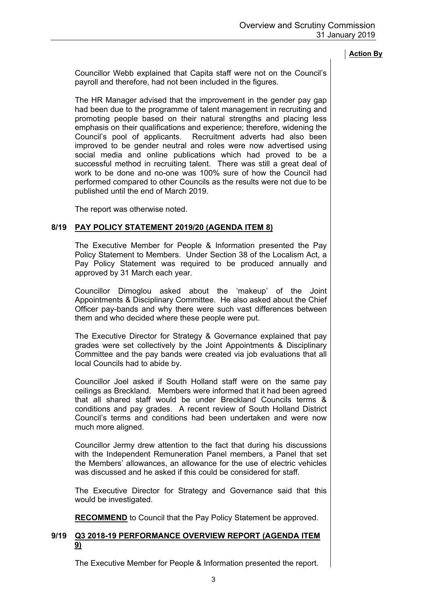Councillor Webb explained that Capita staff were not on the Council's payroll and therefore, had not been included in the figures.

The HR Manager advised that the improvement in the gender pay gap had been due to the programme of talent management in recruiting and promoting people based on their natural strengths and placing less emphasis on their qualifications and experience; therefore, widening the Council's pool of applicants. Recruitment adverts had also been improved to be gender neutral and roles were now advertised using social media and online publications which had proved to be a successful method in recruiting talent. There was still a great deal of work to be done and no-one was 100% sure of how the Council had performed compared to other Councils as the results were not due to be published until the end of March 2019.

The report was otherwise noted.

# **8/19 PAY POLICY STATEMENT 2019/20 (AGENDA ITEM 8)**

The Executive Member for People & Information presented the Pay Policy Statement to Members. Under Section 38 of the Localism Act, a Pay Policy Statement was required to be produced annually and approved by 31 March each year.

Councillor Dimoglou asked about the 'makeup' of the Joint Appointments & Disciplinary Committee. He also asked about the Chief Officer pay-bands and why there were such vast differences between them and who decided where these people were put.

The Executive Director for Strategy & Governance explained that pay grades were set collectively by the Joint Appointments & Disciplinary Committee and the pay bands were created via job evaluations that all local Councils had to abide by.

Councillor Joel asked if South Holland staff were on the same pay ceilings as Breckland. Members were informed that it had been agreed that all shared staff would be under Breckland Councils terms & conditions and pay grades. A recent review of South Holland District Council's terms and conditions had been undertaken and were now much more aligned.

Councillor Jermy drew attention to the fact that during his discussions with the Independent Remuneration Panel members, a Panel that set the Members' allowances, an allowance for the use of electric vehicles was discussed and he asked if this could be considered for staff.

The Executive Director for Strategy and Governance said that this would be investigated.

**RECOMMEND** to Council that the Pay Policy Statement be approved.

# **9/19 Q3 2018-19 PERFORMANCE OVERVIEW REPORT (AGENDA ITEM 9)**

The Executive Member for People & Information presented the report.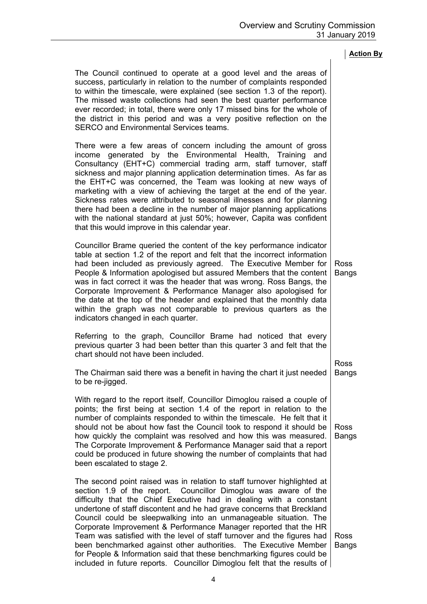Ross

| The Council continued to operate at a good level and the areas of        |  |  |  |  |  |
|--------------------------------------------------------------------------|--|--|--|--|--|
| success, particularly in relation to the number of complaints responded  |  |  |  |  |  |
| to within the timescale, were explained (see section 1.3 of the report). |  |  |  |  |  |
| The missed waste collections had seen the best quarter performance       |  |  |  |  |  |
| ever recorded; in total, there were only 17 missed bins for the whole of |  |  |  |  |  |
| the district in this period and was a very positive reflection on the    |  |  |  |  |  |
| SERCO and Environmental Services teams.                                  |  |  |  |  |  |
|                                                                          |  |  |  |  |  |
| There were a few areas of concern including the amount of gross          |  |  |  |  |  |
| income generated by the Environmental Health, Training and               |  |  |  |  |  |
| Consultancy (EHT+C) commercial trading arm, staff turnover, staff        |  |  |  |  |  |
| sickness and major planning application determination times. As far as   |  |  |  |  |  |
| the EHT+C was concerned, the Team was looking at new ways of             |  |  |  |  |  |
| marketing with a view of achieving the target at the end of the year.    |  |  |  |  |  |

marketing with a view of achieving the target at the end of the year. Sickness rates were attributed to seasonal illnesses and for planning there had been a decline in the number of major planning applications with the national standard at just 50%; however, Capita was confident that this would improve in this calendar year.

Councillor Brame queried the content of the key performance indicator table at section 1.2 of the report and felt that the incorrect information had been included as previously agreed. The Executive Member for People & Information apologised but assured Members that the content was in fact correct it was the header that was wrong. Ross Bangs, the Corporate Improvement & Performance Manager also apologised for the date at the top of the header and explained that the monthly data within the graph was not comparable to previous quarters as the indicators changed in each quarter. Ross Bangs

Referring to the graph, Councillor Brame had noticed that every previous quarter 3 had been better than this quarter 3 and felt that the chart should not have been included.

The Chairman said there was a benefit in having the chart it just needed to be re-jigged. Bangs

With regard to the report itself, Councillor Dimoglou raised a couple of points; the first being at section 1.4 of the report in relation to the number of complaints responded to within the timescale. He felt that it should not be about how fast the Council took to respond it should be how quickly the complaint was resolved and how this was measured. The Corporate Improvement & Performance Manager said that a report could be produced in future showing the number of complaints that had been escalated to stage 2. Ross Bangs

The second point raised was in relation to staff turnover highlighted at section 1.9 of the report. Councillor Dimoglou was aware of the difficulty that the Chief Executive had in dealing with a constant undertone of staff discontent and he had grave concerns that Breckland Council could be sleepwalking into an unmanageable situation. The Corporate Improvement & Performance Manager reported that the HR Team was satisfied with the level of staff turnover and the figures had been benchmarked against other authorities. The Executive Member for People & Information said that these benchmarking figures could be included in future reports. Councillor Dimoglou felt that the results of Ross Bangs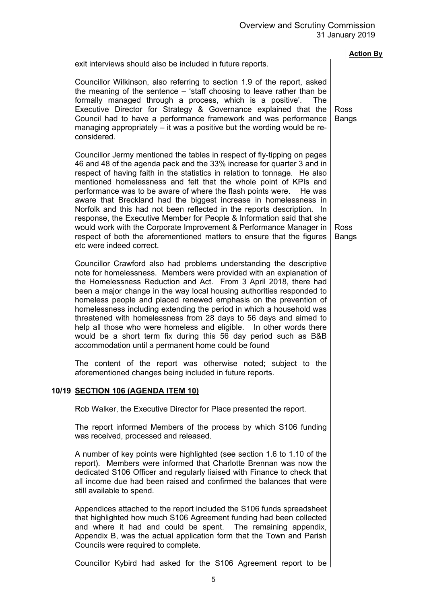|                                                                                                                                                                                                                                                                                                                                                                                                                                                                                                                                                                                                                                                                                                                                                                                | <b>Action By</b>            |
|--------------------------------------------------------------------------------------------------------------------------------------------------------------------------------------------------------------------------------------------------------------------------------------------------------------------------------------------------------------------------------------------------------------------------------------------------------------------------------------------------------------------------------------------------------------------------------------------------------------------------------------------------------------------------------------------------------------------------------------------------------------------------------|-----------------------------|
| exit interviews should also be included in future reports.                                                                                                                                                                                                                                                                                                                                                                                                                                                                                                                                                                                                                                                                                                                     |                             |
| Councillor Wilkinson, also referring to section 1.9 of the report, asked<br>the meaning of the sentence – 'staff choosing to leave rather than be<br>formally managed through a process, which is a positive'. The<br>Executive Director for Strategy & Governance explained that the<br>Council had to have a performance framework and was performance<br>managing appropriately – it was a positive but the wording would be re-<br>considered.                                                                                                                                                                                                                                                                                                                             | <b>Ross</b><br><b>Bangs</b> |
| Councillor Jermy mentioned the tables in respect of fly-tipping on pages<br>46 and 48 of the agenda pack and the 33% increase for quarter 3 and in<br>respect of having faith in the statistics in relation to tonnage. He also<br>mentioned homelessness and felt that the whole point of KPIs and<br>performance was to be aware of where the flash points were.<br>He was<br>aware that Breckland had the biggest increase in homelessness in<br>Norfolk and this had not been reflected in the reports description. In<br>response, the Executive Member for People & Information said that she<br>would work with the Corporate Improvement & Performance Manager in<br>respect of both the aforementioned matters to ensure that the figures<br>etc were indeed correct. | <b>Ross</b><br><b>Bangs</b> |
| Councillor Crawford also had problems understanding the descriptive<br>note for homelessness. Members were provided with an explanation of<br>the Homelessness Reduction and Act. From 3 April 2018, there had<br>been a major change in the way local housing authorities responded to<br>homeless people and placed renewed emphasis on the prevention of<br>homelessness including extending the period in which a household was<br>threatened with homelessness from 28 days to 56 days and aimed to<br>help all those who were homeless and eligible. In other words there<br>would be a short term fix during this 56 day period such as B&B<br>accommodation until a permanent home could be found                                                                      |                             |
| The content of the report was otherwise noted; subject to the<br>aforementioned changes being included in future reports.                                                                                                                                                                                                                                                                                                                                                                                                                                                                                                                                                                                                                                                      |                             |
| 10/19 <u>SECTION 106 (AGENDA ITEM 10)</u>                                                                                                                                                                                                                                                                                                                                                                                                                                                                                                                                                                                                                                                                                                                                      |                             |
| Rob Walker, the Executive Director for Place presented the report.                                                                                                                                                                                                                                                                                                                                                                                                                                                                                                                                                                                                                                                                                                             |                             |
| The report informed Members of the process by which S106 funding<br>was received, processed and released.                                                                                                                                                                                                                                                                                                                                                                                                                                                                                                                                                                                                                                                                      |                             |
| A number of key points were highlighted (see section 1.6 to 1.10 of the<br>report). Members were informed that Charlotte Brennan was now the<br>dedicated S106 Officer and regularly liaised with Finance to check that<br>all income due had been raised and confirmed the balances that were<br>still available to spend.                                                                                                                                                                                                                                                                                                                                                                                                                                                    |                             |
| Appendices attached to the report included the S106 funds spreadsheet<br>that highlighted how much S106 Agreement funding had been collected<br>and where it had and could be spent. The remaining appendix,<br>Appendix B, was the actual application form that the Town and Parish<br>Councils were required to complete.                                                                                                                                                                                                                                                                                                                                                                                                                                                    |                             |
| Councillor Kybird had asked for the S106 Agreement report to be                                                                                                                                                                                                                                                                                                                                                                                                                                                                                                                                                                                                                                                                                                                |                             |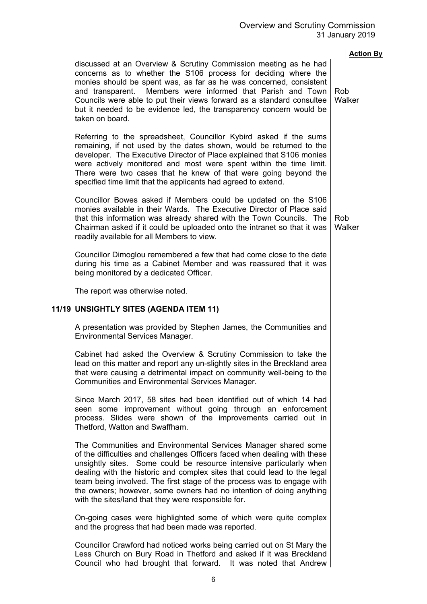| discussed at an Overview & Scrutiny Commission meeting as he had<br>concerns as to whether the S106 process for deciding where the<br>monies should be spent was, as far as he was concerned, consistent<br>and transparent. Members were informed that Parish and Town<br>Councils were able to put their views forward as a standard consultee<br>but it needed to be evidence led, the transparency concern would be<br>taken on board.                                                             | <b>Action By</b><br>Rob<br>Walker |
|--------------------------------------------------------------------------------------------------------------------------------------------------------------------------------------------------------------------------------------------------------------------------------------------------------------------------------------------------------------------------------------------------------------------------------------------------------------------------------------------------------|-----------------------------------|
| Referring to the spreadsheet, Councillor Kybird asked if the sums<br>remaining, if not used by the dates shown, would be returned to the<br>developer. The Executive Director of Place explained that S106 monies<br>were actively monitored and most were spent within the time limit.<br>There were two cases that he knew of that were going beyond the<br>specified time limit that the applicants had agreed to extend.                                                                           |                                   |
| Councillor Bowes asked if Members could be updated on the S106<br>monies available in their Wards. The Executive Director of Place said<br>that this information was already shared with the Town Councils. The<br>Chairman asked if it could be uploaded onto the intranet so that it was<br>readily available for all Members to view.                                                                                                                                                               | Rob<br>Walker                     |
| Councillor Dimoglou remembered a few that had come close to the date<br>during his time as a Cabinet Member and was reassured that it was<br>being monitored by a dedicated Officer.                                                                                                                                                                                                                                                                                                                   |                                   |
| The report was otherwise noted.                                                                                                                                                                                                                                                                                                                                                                                                                                                                        |                                   |
| 11/19 <u>UNSIGHTLY SITES (AGENDA ITEM 11)</u>                                                                                                                                                                                                                                                                                                                                                                                                                                                          |                                   |
| A presentation was provided by Stephen James, the Communities and<br><b>Environmental Services Manager.</b>                                                                                                                                                                                                                                                                                                                                                                                            |                                   |
| Cabinet had asked the Overview & Scrutiny Commission to take the<br>lead on this matter and report any un-slightly sites in the Breckland area<br>that were causing a detrimental impact on community well-being to the<br><b>Communities and Environmental Services Manager.</b>                                                                                                                                                                                                                      |                                   |
| Since March 2017, 58 sites had been identified out of which 14 had<br>seen some improvement without going through an enforcement<br>process. Slides were shown of the improvements carried out in<br>Thetford, Watton and Swaffham.                                                                                                                                                                                                                                                                    |                                   |
| The Communities and Environmental Services Manager shared some<br>of the difficulties and challenges Officers faced when dealing with these<br>unsightly sites. Some could be resource intensive particularly when<br>dealing with the historic and complex sites that could lead to the legal<br>team being involved. The first stage of the process was to engage with<br>the owners; however, some owners had no intention of doing anything<br>with the sites/land that they were responsible for. |                                   |
| On-going cases were highlighted some of which were quite complex<br>and the progress that had been made was reported.                                                                                                                                                                                                                                                                                                                                                                                  |                                   |
| Councillor Crawford had noticed works being carried out on St Mary the<br>Less Church on Bury Road in Thetford and asked if it was Breckland                                                                                                                                                                                                                                                                                                                                                           |                                   |

Council who had brought that forward. It was noted that Andrew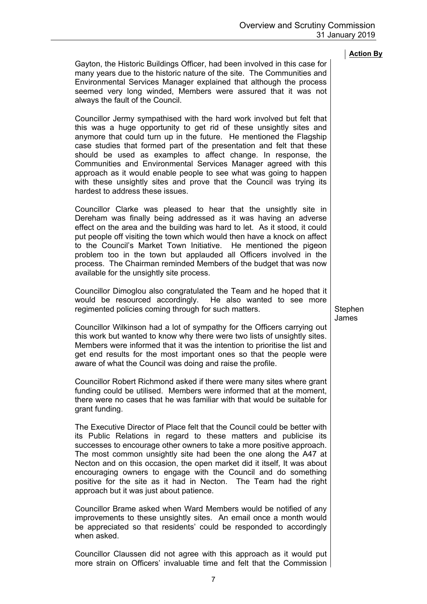| always the fault of the Council.                                                                                                                                                                                                                                                                                                                                                                                                                                                                                                                                                                                    |                  |  |
|---------------------------------------------------------------------------------------------------------------------------------------------------------------------------------------------------------------------------------------------------------------------------------------------------------------------------------------------------------------------------------------------------------------------------------------------------------------------------------------------------------------------------------------------------------------------------------------------------------------------|------------------|--|
| Councillor Jermy sympathised with the hard work involved but felt that<br>this was a huge opportunity to get rid of these unsightly sites and<br>anymore that could turn up in the future. He mentioned the Flagship<br>case studies that formed part of the presentation and felt that these<br>should be used as examples to affect change. In response, the<br>Communities and Environmental Services Manager agreed with this<br>approach as it would enable people to see what was going to happen<br>with these unsightly sites and prove that the Council was trying its<br>hardest to address these issues. |                  |  |
| Councillor Clarke was pleased to hear that the unsightly site in<br>Dereham was finally being addressed as it was having an adverse<br>effect on the area and the building was hard to let. As it stood, it could<br>put people off visiting the town which would then have a knock on affect<br>to the Council's Market Town Initiative. He mentioned the pigeon<br>problem too in the town but applauded all Officers involved in the<br>process. The Chairman reminded Members of the budget that was now<br>available for the unsightly site process.                                                           |                  |  |
| Councillor Dimoglou also congratulated the Team and he hoped that it<br>would be resourced accordingly. He also wanted to see more<br>regimented policies coming through for such matters.                                                                                                                                                                                                                                                                                                                                                                                                                          | Stephen<br>James |  |
| Councillor Wilkinson had a lot of sympathy for the Officers carrying out<br>this work but wanted to know why there were two lists of unsightly sites.<br>Members were informed that it was the intention to prioritise the list and<br>get end results for the most important ones so that the people were<br>aware of what the Council was doing and raise the profile.                                                                                                                                                                                                                                            |                  |  |
| Councillor Robert Richmond asked if there were many sites where grant<br>funding could be utilised. Members were informed that at the moment,<br>there were no cases that he was familiar with that would be suitable for<br>grant funding.                                                                                                                                                                                                                                                                                                                                                                         |                  |  |
| The Executive Director of Place felt that the Council could be better with<br>its Public Relations in regard to these matters and publicise its<br>successes to encourage other owners to take a more positive approach.<br>The most common unsightly site had been the one along the A47 at<br>Necton and on this occasion, the open market did it itself, It was about<br>encouraging owners to engage with the Council and do something<br>positive for the site as it had in Necton. The Team had the right<br>approach but it was just about patience.                                                         |                  |  |
| Councillor Brame asked when Ward Members would be notified of any<br>improvements to these unsightly sites. An email once a month would<br>be appreciated so that residents' could be responded to accordingly<br>when asked.                                                                                                                                                                                                                                                                                                                                                                                       |                  |  |
| Councillor Claussen did not agree with this approach as it would put                                                                                                                                                                                                                                                                                                                                                                                                                                                                                                                                                |                  |  |

Gayton, the Historic Buildings Officer, had been involved in this case for many years due to the historic nature of the site. The Communities and Environmental Services Manager explained that although the process seemed very long winded, Members were assured that it was not

more strain on Officers' invaluable time and felt that the Commission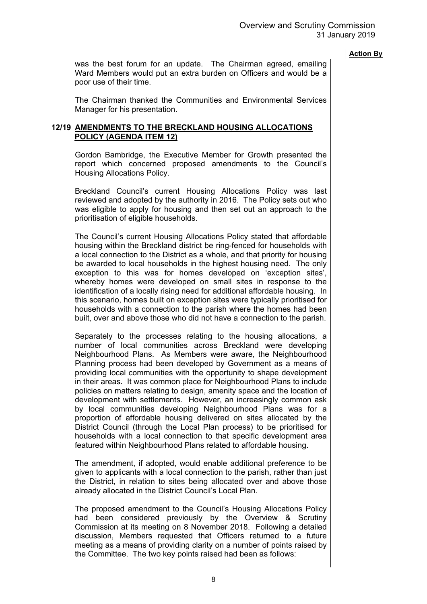was the best forum for an update. The Chairman agreed, emailing Ward Members would put an extra burden on Officers and would be a poor use of their time.

The Chairman thanked the Communities and Environmental Services Manager for his presentation.

### **12/19 AMENDMENTS TO THE BRECKLAND HOUSING ALLOCATIONS POLICY (AGENDA ITEM 12)**

Gordon Bambridge, the Executive Member for Growth presented the report which concerned proposed amendments to the Council's Housing Allocations Policy.

Breckland Council's current Housing Allocations Policy was last reviewed and adopted by the authority in 2016. The Policy sets out who was eligible to apply for housing and then set out an approach to the prioritisation of eligible households.

The Council's current Housing Allocations Policy stated that affordable housing within the Breckland district be ring-fenced for households with a local connection to the District as a whole, and that priority for housing be awarded to local households in the highest housing need. The only exception to this was for homes developed on 'exception sites', whereby homes were developed on small sites in response to the identification of a locally rising need for additional affordable housing. In this scenario, homes built on exception sites were typically prioritised for households with a connection to the parish where the homes had been built, over and above those who did not have a connection to the parish.

Separately to the processes relating to the housing allocations, a number of local communities across Breckland were developing Neighbourhood Plans. As Members were aware, the Neighbourhood Planning process had been developed by Government as a means of providing local communities with the opportunity to shape development in their areas. It was common place for Neighbourhood Plans to include policies on matters relating to design, amenity space and the location of development with settlements. However, an increasingly common ask by local communities developing Neighbourhood Plans was for a proportion of affordable housing delivered on sites allocated by the District Council (through the Local Plan process) to be prioritised for households with a local connection to that specific development area featured within Neighbourhood Plans related to affordable housing.

The amendment, if adopted, would enable additional preference to be given to applicants with a local connection to the parish, rather than just the District, in relation to sites being allocated over and above those already allocated in the District Council's Local Plan.

The proposed amendment to the Council's Housing Allocations Policy had been considered previously by the Overview & Scrutiny Commission at its meeting on 8 November 2018. Following a detailed discussion, Members requested that Officers returned to a future meeting as a means of providing clarity on a number of points raised by the Committee. The two key points raised had been as follows: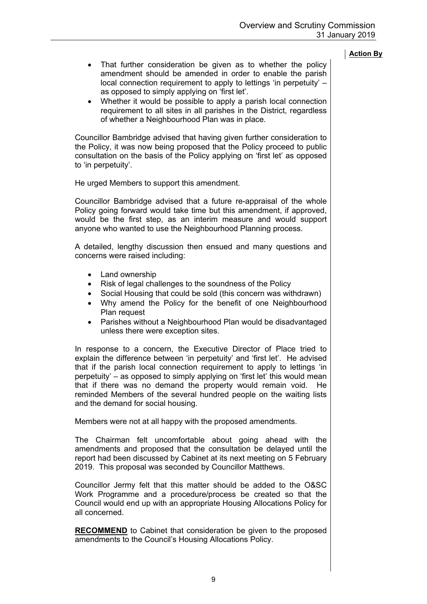- That further consideration be given as to whether the policy amendment should be amended in order to enable the parish local connection requirement to apply to lettings 'in perpetuity' – as opposed to simply applying on 'first let'.
- Whether it would be possible to apply a parish local connection requirement to all sites in all parishes in the District, regardless of whether a Neighbourhood Plan was in place.

Councillor Bambridge advised that having given further consideration to the Policy, it was now being proposed that the Policy proceed to public consultation on the basis of the Policy applying on 'first let' as opposed to 'in perpetuity'.

He urged Members to support this amendment.

Councillor Bambridge advised that a future re-appraisal of the whole Policy going forward would take time but this amendment, if approved, would be the first step, as an interim measure and would support anyone who wanted to use the Neighbourhood Planning process.

A detailed, lengthy discussion then ensued and many questions and concerns were raised including:

- Land ownership
- Risk of legal challenges to the soundness of the Policy
- Social Housing that could be sold (this concern was withdrawn)
- Why amend the Policy for the benefit of one Neighbourhood Plan request
- Parishes without a Neighbourhood Plan would be disadvantaged unless there were exception sites.

In response to a concern, the Executive Director of Place tried to explain the difference between 'in perpetuity' and 'first let'. He advised that if the parish local connection requirement to apply to lettings 'in perpetuity' – as opposed to simply applying on 'first let' this would mean that if there was no demand the property would remain void. He reminded Members of the several hundred people on the waiting lists and the demand for social housing.

Members were not at all happy with the proposed amendments.

The Chairman felt uncomfortable about going ahead with the amendments and proposed that the consultation be delayed until the report had been discussed by Cabinet at its next meeting on 5 February 2019. This proposal was seconded by Councillor Matthews.

Councillor Jermy felt that this matter should be added to the O&SC Work Programme and a procedure/process be created so that the Council would end up with an appropriate Housing Allocations Policy for all concerned.

**RECOMMEND** to Cabinet that consideration be given to the proposed amendments to the Council's Housing Allocations Policy.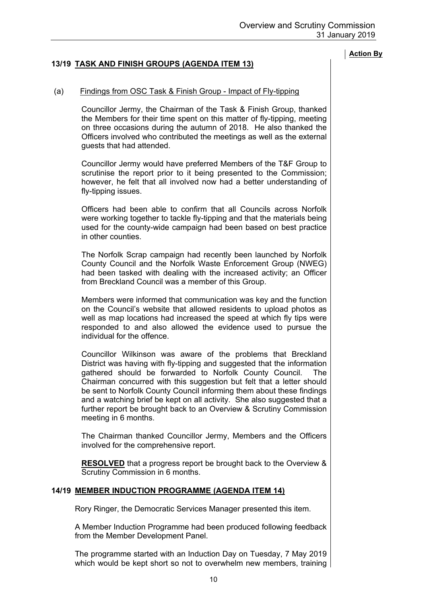# **13/19 TASK AND FINISH GROUPS (AGENDA ITEM 13)**

# (a) Findings from OSC Task & Finish Group - Impact of Fly-tipping

Councillor Jermy, the Chairman of the Task & Finish Group, thanked the Members for their time spent on this matter of fly-tipping, meeting on three occasions during the autumn of 2018. He also thanked the Officers involved who contributed the meetings as well as the external guests that had attended.

Councillor Jermy would have preferred Members of the T&F Group to scrutinise the report prior to it being presented to the Commission; however, he felt that all involved now had a better understanding of fly-tipping issues.

Officers had been able to confirm that all Councils across Norfolk were working together to tackle fly-tipping and that the materials being used for the county-wide campaign had been based on best practice in other counties.

The Norfolk Scrap campaign had recently been launched by Norfolk County Council and the Norfolk Waste Enforcement Group (NWEG) had been tasked with dealing with the increased activity; an Officer from Breckland Council was a member of this Group.

Members were informed that communication was key and the function on the Council's website that allowed residents to upload photos as well as map locations had increased the speed at which fly tips were responded to and also allowed the evidence used to pursue the individual for the offence.

Councillor Wilkinson was aware of the problems that Breckland District was having with fly-tipping and suggested that the information gathered should be forwarded to Norfolk County Council. The Chairman concurred with this suggestion but felt that a letter should be sent to Norfolk County Council informing them about these findings and a watching brief be kept on all activity. She also suggested that a further report be brought back to an Overview & Scrutiny Commission meeting in 6 months.

The Chairman thanked Councillor Jermy, Members and the Officers involved for the comprehensive report.

**RESOLVED** that a progress report be brought back to the Overview & Scrutiny Commission in 6 months.

#### **14/19 MEMBER INDUCTION PROGRAMME (AGENDA ITEM 14)**

Rory Ringer, the Democratic Services Manager presented this item.

A Member Induction Programme had been produced following feedback from the Member Development Panel.

The programme started with an Induction Day on Tuesday, 7 May 2019 which would be kept short so not to overwhelm new members, training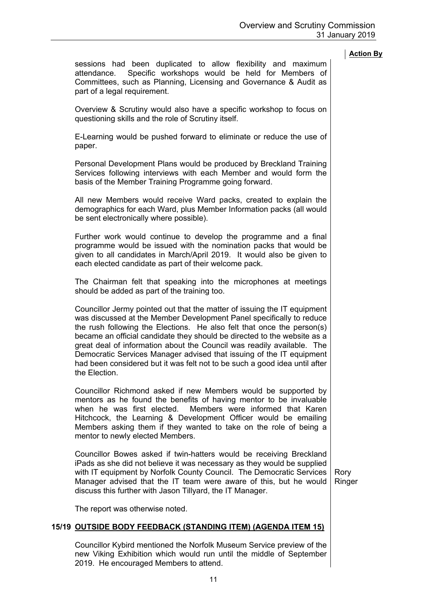sessions had been duplicated to allow flexibility and maximum attendance. Specific workshops would be held for Members of Committees, such as Planning, Licensing and Governance & Audit as part of a legal requirement. Overview & Scrutiny would also have a specific workshop to focus on

questioning skills and the role of Scrutiny itself.

E-Learning would be pushed forward to eliminate or reduce the use of paper.

Personal Development Plans would be produced by Breckland Training Services following interviews with each Member and would form the basis of the Member Training Programme going forward.

All new Members would receive Ward packs, created to explain the demographics for each Ward, plus Member Information packs (all would be sent electronically where possible).

Further work would continue to develop the programme and a final programme would be issued with the nomination packs that would be given to all candidates in March/April 2019. It would also be given to each elected candidate as part of their welcome pack.

The Chairman felt that speaking into the microphones at meetings should be added as part of the training too.

Councillor Jermy pointed out that the matter of issuing the IT equipment was discussed at the Member Development Panel specifically to reduce the rush following the Elections. He also felt that once the person(s) became an official candidate they should be directed to the website as a great deal of information about the Council was readily available. The Democratic Services Manager advised that issuing of the IT equipment had been considered but it was felt not to be such a good idea until after the Election.

Councillor Richmond asked if new Members would be supported by mentors as he found the benefits of having mentor to be invaluable when he was first elected. Members were informed that Karen Hitchcock, the Learning & Development Officer would be emailing Members asking them if they wanted to take on the role of being a mentor to newly elected Members.

Councillor Bowes asked if twin-hatters would be receiving Breckland iPads as she did not believe it was necessary as they would be supplied with IT equipment by Norfolk County Council. The Democratic Services Manager advised that the IT team were aware of this, but he would discuss this further with Jason Tillyard, the IT Manager.

Rory Ringer

The report was otherwise noted.

# **15/19 OUTSIDE BODY FEEDBACK (STANDING ITEM) (AGENDA ITEM 15)**

Councillor Kybird mentioned the Norfolk Museum Service preview of the new Viking Exhibition which would run until the middle of September 2019. He encouraged Members to attend.